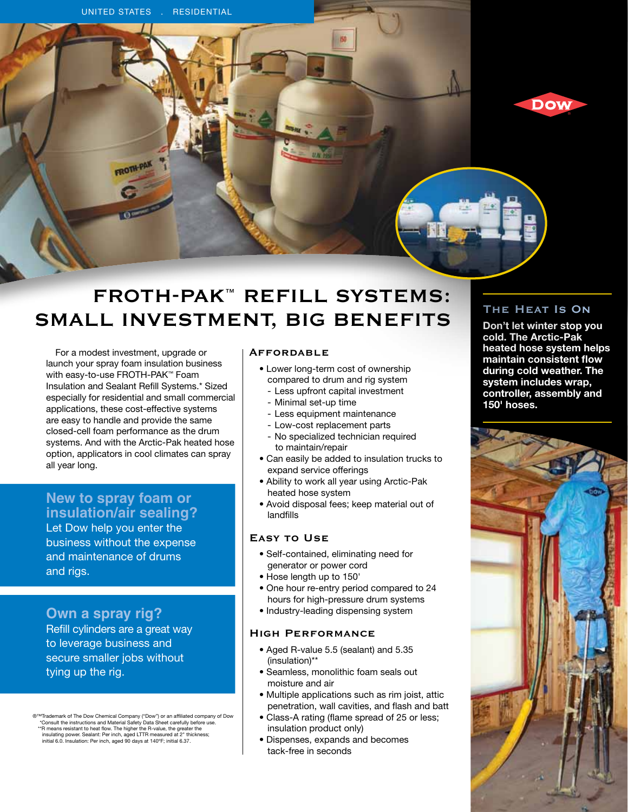

# **FROTH-PAK™ Refill Systems: Small Investment, Big Benefits**

For a modest investment, upgrade or launch your spray foam insulation business with easy-to-use FROTH-PAK™ Foam Insulation and Sealant Refill Systems.\* Sized especially for residential and small commercial applications, these cost-effective systems are easy to handle and provide the same closed-cell foam performance as the drum systems. And with the Arctic-Pak heated hose option, applicators in cool climates can spray all year long.

## **New to spray foam or insulation/air sealing?**

Let Dow help you enter the business without the expense and maintenance of drums and rigs.

## **Own a spray rig?**

Refill cylinders are a great way to leverage business and secure smaller jobs without tying up the rig.

®™Trademark of The Dow Chemical Company ("Dow") or an affiliated company of Dow"<br>"Consult the instructions and Material Safety Data Sheet carefully before use.<br>"R means resistant to heat flow. The higher the R-value, the initial 6.0. Insulation: Per inch, aged 90 days at 140ºF; initial 6.37.

### **Affordable**

- Lower long-term cost of ownership compared to drum and rig system
- Less upfront capital investment
- Minimal set-up time
- Less equipment maintenance
- Low-cost replacement parts
- No specialized technician required to maintain/repair
- Can easily be added to insulation trucks to expand service offerings
- Ability to work all year using Arctic-Pak heated hose system
- Avoid disposal fees; keep material out of landfills

## **Easy to Use**

- Self-contained, eliminating need for generator or power cord
- Hose length up to 150'
- One hour re-entry period compared to 24 hours for high-pressure drum systems
- Industry-leading dispensing system

## **High Performance**

- Aged R-value 5.5 (sealant) and 5.35 (insulation)\*\*
- Seamless, monolithic foam seals out moisture and air
- Multiple applications such as rim joist, attic penetration, wall cavities, and flash and batt
- Class-A rating (flame spread of 25 or less; insulation product only)
- Dispenses, expands and becomes tack-free in seconds

## **The Heat Is On**

**Don't let winter stop you cold. The Arctic-Pak heated hose system helps maintain consistent flow during cold weather. The system includes wrap, controller, assembly and 150' hoses.**